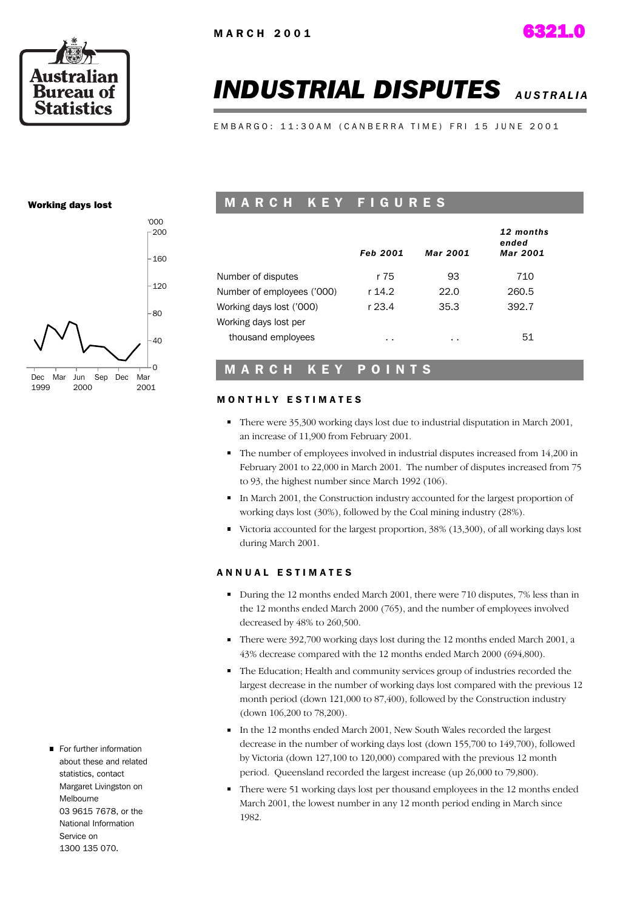

# *INDUSTRIAL DISPUTES AUSTRALIA*

EMBARGO: 11:30AM (CANBERRA TIME) FRI 15 JUNE 2001

#### Working days lost



#### M A R C H K E Y F I G U R E S

|                            | <b>Feb 2001</b> | <b>Mar 2001</b> | 12 months<br>ended<br><b>Mar 2001</b> |
|----------------------------|-----------------|-----------------|---------------------------------------|
| Number of disputes         | r 75            | 93              | 710                                   |
| Number of employees ('000) | r 14.2          | 22.0            | 260.5                                 |
| Working days lost ('000)   | r 23.4          | 35.3            | 392.7                                 |
| Working days lost per      |                 |                 |                                       |
| thousand employees         | $\sim$          | . .             | 51                                    |

#### M A R C H K E Y P O I N T S

#### **MONTHLY ESTIMATES**

- There were 35,300 working days lost due to industrial disputation in March 2001, an increase of 11,900 from February 2001.
- The number of employees involved in industrial disputes increased from 14,200 in February 2001 to 22,000 in March 2001. The number of disputes increased from 75 to 93, the highest number since March 1992 (106).
- In March 2001, the Construction industry accounted for the largest proportion of working days lost (30%), followed by the Coal mining industry (28%).
- Victoria accounted for the largest proportion, 38% (13,300), of all working days lost during March 2001.

#### ANNUAL ESTIMATES

- During the 12 months ended March 2001, there were 710 disputes, 7% less than in the 12 months ended March 2000 (765), and the number of employees involved decreased by 48% to 260,500.
- There were 392,700 working days lost during the 12 months ended March 2001, a 43% decrease compared with the 12 months ended March 2000 (694,800).
- The Education; Health and community services group of industries recorded the largest decrease in the number of working days lost compared with the previous 12 month period (down 121,000 to 87,400), followed by the Construction industry (down 106,200 to 78,200).
- In the 12 months ended March 2001, New South Wales recorded the largest decrease in the number of working days lost (down 155,700 to 149,700), followed by Victoria (down 127,100 to 120,000) compared with the previous 12 month period. Queensland recorded the largest increase (up 26,000 to 79,800).
- There were 51 working days lost per thousand employees in the 12 months ended March 2001, the lowest number in any 12 month period ending in March since 1982.
- For further information about these and related statistics, contact Margaret Livingston on Melbourne 03 9615 7678, or the National Information Service on 1300 135 070.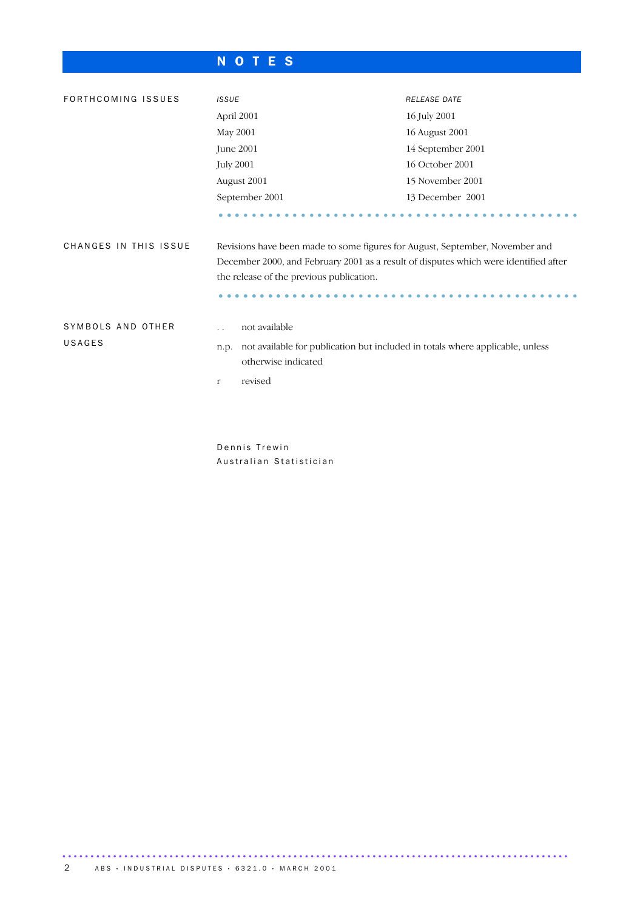### N O T E S

| FORTHCOMING ISSUES    | <b>ISSUE</b>                                                                                                                                                                                                     | RELEASE DATE      |  |  |  |
|-----------------------|------------------------------------------------------------------------------------------------------------------------------------------------------------------------------------------------------------------|-------------------|--|--|--|
|                       | April 2001                                                                                                                                                                                                       | 16 July 2001      |  |  |  |
|                       | May 2001                                                                                                                                                                                                         | 16 August 2001    |  |  |  |
|                       | June 2001                                                                                                                                                                                                        | 14 September 2001 |  |  |  |
|                       | <b>July 2001</b>                                                                                                                                                                                                 | 16 October 2001   |  |  |  |
|                       | August 2001                                                                                                                                                                                                      | 15 November 2001  |  |  |  |
|                       | September 2001                                                                                                                                                                                                   | 13 December 2001  |  |  |  |
|                       |                                                                                                                                                                                                                  |                   |  |  |  |
| CHANGES IN THIS ISSUE | Revisions have been made to some figures for August, September, November and<br>December 2000, and February 2001 as a result of disputes which were identified after<br>the release of the previous publication. |                   |  |  |  |
| SYMBOLS AND OTHER     | not available                                                                                                                                                                                                    |                   |  |  |  |
| USAGES                | not available for publication but included in totals where applicable, unless<br>n.p.<br>otherwise indicated                                                                                                     |                   |  |  |  |
|                       | revised<br>$\mathbf r$                                                                                                                                                                                           |                   |  |  |  |
|                       |                                                                                                                                                                                                                  |                   |  |  |  |
|                       |                                                                                                                                                                                                                  |                   |  |  |  |
|                       |                                                                                                                                                                                                                  |                   |  |  |  |

Dennis Trewin Australian Statistician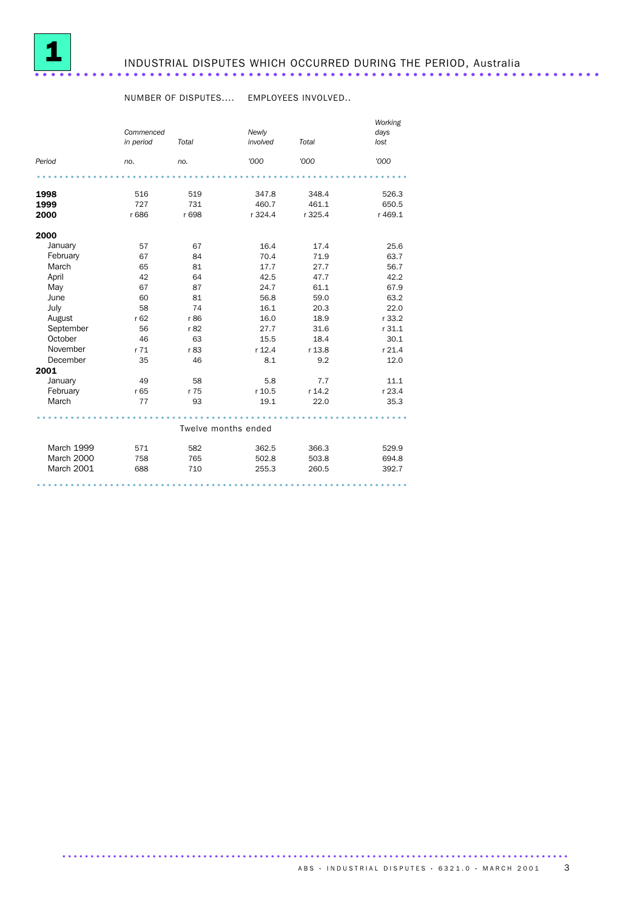

## INDUSTRIAL DISPUTES WHICH OCCURRED DURING THE PERIOD, Australia .....................................................................

#### NUMBER OF DISPUTES.... EMPLOYEES INVOLVED..

|                   |                        |       |                     | Working |              |
|-------------------|------------------------|-------|---------------------|---------|--------------|
|                   | Commenced<br>in period | Total | Newly<br>involved   | Total   | days<br>lost |
|                   |                        |       |                     |         |              |
| Period            | no.                    | no.   | '000                | '000    | '000         |
|                   |                        |       |                     |         |              |
| 1998              | 516                    | 519   | 347.8               | 348.4   | 526.3        |
| 1999              | 727                    | 731   | 460.7               | 461.1   | 650.5        |
| 2000              | r 686                  | r 698 | r 324.4             | r 325.4 | r 469.1      |
| 2000              |                        |       |                     |         |              |
| January           | 57                     | 67    | 16.4                | 17.4    | 25.6         |
| February          | 67                     | 84    | 70.4                | 71.9    | 63.7         |
| March             | 65                     | 81    | 17.7                | 27.7    | 56.7         |
| April             | 42                     | 64    | 42.5                | 47.7    | 42.2         |
| May               | 67                     | 87    | 24.7                | 61.1    | 67.9         |
| June              | 60                     | 81    | 56.8                | 59.0    | 63.2         |
| July              | 58                     | 74    | 16.1                | 20.3    | 22.0         |
| August            | r62                    | r 86  | 16.0                | 18.9    | r 33.2       |
| September         | 56                     | r 82  | 27.7                | 31.6    | r 31.1       |
| October           | 46                     | 63    | 15.5                | 18.4    | 30.1         |
| November          | r71                    | r 83  | r 12.4              | r 13.8  | r 21.4       |
| December          | 35                     | 46    | 8.1                 | 9.2     | 12.0         |
| 2001              |                        |       |                     |         |              |
| January           | 49                     | 58    | 5.8                 | 7.7     | 11.1         |
| February          | r 65                   | r 75  | r 10.5              | r 14.2  | r 23.4       |
| March             | 77                     | 93    | 19.1                | 22.0    | 35.3         |
|                   |                        |       | Twelve months ended |         |              |
|                   |                        |       |                     |         |              |
| <b>March 1999</b> | 571                    | 582   | 362.5               | 366.3   | 529.9        |
| March 2000        | 758                    | 765   | 502.8               | 503.8   | 694.8        |
| March 2001        | 688                    | 710   | 255.3               | 260.5   | 392.7        |
|                   |                        |       |                     |         |              |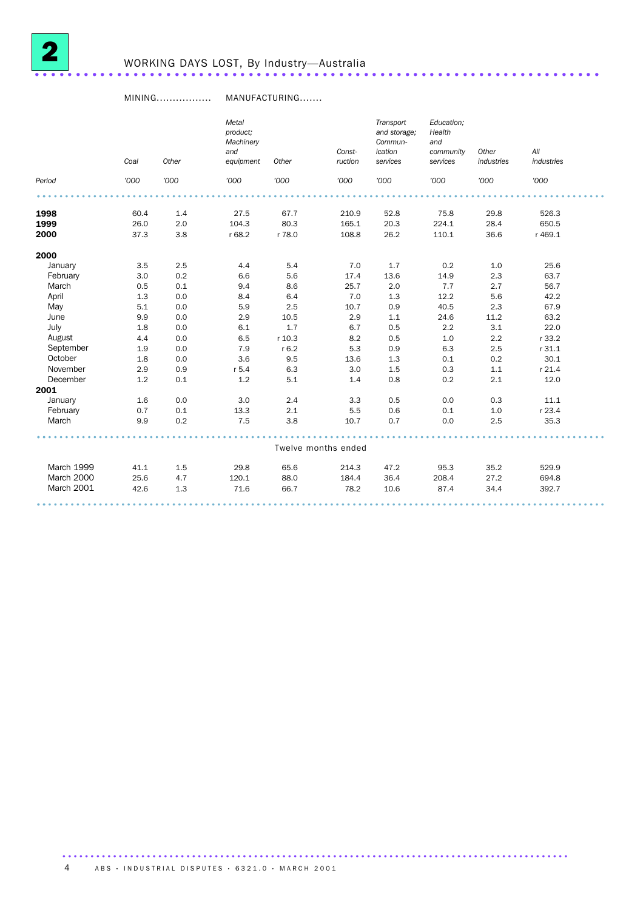

#### MINING................. MANUFACTURING.......

|            | Coal | Other | Metal<br>product;<br>Machinery<br>and<br>equipment | Other   | Const-<br>ruction   | Transport<br>and storage;<br>Commun-<br>ication<br>services | Education;<br>Health<br>and<br>community<br>services | Other<br>industries | All<br>industries |  |
|------------|------|-------|----------------------------------------------------|---------|---------------------|-------------------------------------------------------------|------------------------------------------------------|---------------------|-------------------|--|
| Period     | '000 | '000  | '000                                               | '000    | '000                | '000                                                        | '000                                                 | '000                | '000              |  |
|            |      |       |                                                    |         |                     |                                                             |                                                      |                     |                   |  |
| 1998       | 60.4 | 1.4   | 27.5                                               | 67.7    | 210.9               | 52.8                                                        | 75.8                                                 | 29.8                | 526.3             |  |
| 1999       | 26.0 | 2.0   | 104.3                                              | 80.3    | 165.1               | 20.3                                                        | 224.1                                                | 28.4                | 650.5             |  |
| 2000       | 37.3 | 3.8   | r 68.2                                             | r 78.0  | 108.8               | 26.2                                                        | 110.1                                                | 36.6                | r 469.1           |  |
| 2000       |      |       |                                                    |         |                     |                                                             |                                                      |                     |                   |  |
| January    | 3.5  | 2.5   | 4.4                                                | 5.4     | 7.0                 | 1.7                                                         | 0.2                                                  | 1.0                 | 25.6              |  |
| February   | 3.0  | 0.2   | 6.6                                                | 5.6     | 17.4                | 13.6                                                        | 14.9                                                 | 2.3                 | 63.7              |  |
| March      | 0.5  | 0.1   | 9.4                                                | 8.6     | 25.7                | 2.0                                                         | 7.7                                                  | 2.7                 | 56.7              |  |
| April      | 1.3  | 0.0   | 8.4                                                | 6.4     | 7.0                 | 1.3                                                         | 12.2                                                 | 5.6                 | 42.2              |  |
| May        | 5.1  | 0.0   | 5.9                                                | 2.5     | 10.7                | 0.9                                                         | 40.5                                                 | 2.3                 | 67.9              |  |
| June       | 9.9  | 0.0   | 2.9                                                | 10.5    | 2.9                 | 1.1                                                         | 24.6                                                 | 11.2                | 63.2              |  |
| July       | 1.8  | 0.0   | 6.1                                                | 1.7     | 6.7                 | 0.5                                                         | 2.2                                                  | 3.1                 | 22.0              |  |
| August     | 4.4  | 0.0   | 6.5                                                | r 10.3  | 8.2                 | 0.5                                                         | 1.0                                                  | 2.2                 | r 33.2            |  |
| September  | 1.9  | 0.0   | 7.9                                                | $r$ 6.2 | 5.3                 | 0.9                                                         | 6.3                                                  | 2.5                 | r 31.1            |  |
| October    | 1.8  | 0.0   | 3.6                                                | 9.5     | 13.6                | 1.3                                                         | 0.1                                                  | 0.2                 | 30.1              |  |
| November   | 2.9  | 0.9   | $r$ 5.4                                            | 6.3     | 3.0                 | 1.5                                                         | 0.3                                                  | 1.1                 | r 21.4            |  |
| December   | 1.2  | 0.1   | 1.2                                                | 5.1     | 1.4                 | 0.8                                                         | 0.2                                                  | 2.1                 | 12.0              |  |
| 2001       |      |       |                                                    |         |                     |                                                             |                                                      |                     |                   |  |
| January    | 1.6  | 0.0   | 3.0                                                | 2.4     | 3.3                 | 0.5                                                         | 0.0                                                  | 0.3                 | 11.1              |  |
| February   | 0.7  | 0.1   | 13.3                                               | 2.1     | 5.5                 | 0.6                                                         | 0.1                                                  | 1.0                 | r 23.4            |  |
| March      | 9.9  | 0.2   | 7.5                                                | 3.8     | 10.7                | 0.7                                                         | 0.0                                                  | 2.5                 | 35.3              |  |
|            |      |       |                                                    |         | Twelve months ended |                                                             |                                                      |                     |                   |  |
| March 1999 | 41.1 | 1.5   | 29.8                                               | 65.6    | 214.3               | 47.2                                                        | 95.3                                                 | 35.2                | 529.9             |  |
| March 2000 | 25.6 | 4.7   | 120.1                                              | 88.0    | 184.4               | 36.4                                                        | 208.4                                                | 27.2                | 694.8             |  |
| March 2001 | 42.6 | 1.3   | 71.6                                               | 66.7    | 78.2                | 10.6                                                        | 87.4                                                 | 34.4                | 392.7             |  |
|            |      |       |                                                    |         |                     |                                                             |                                                      |                     |                   |  |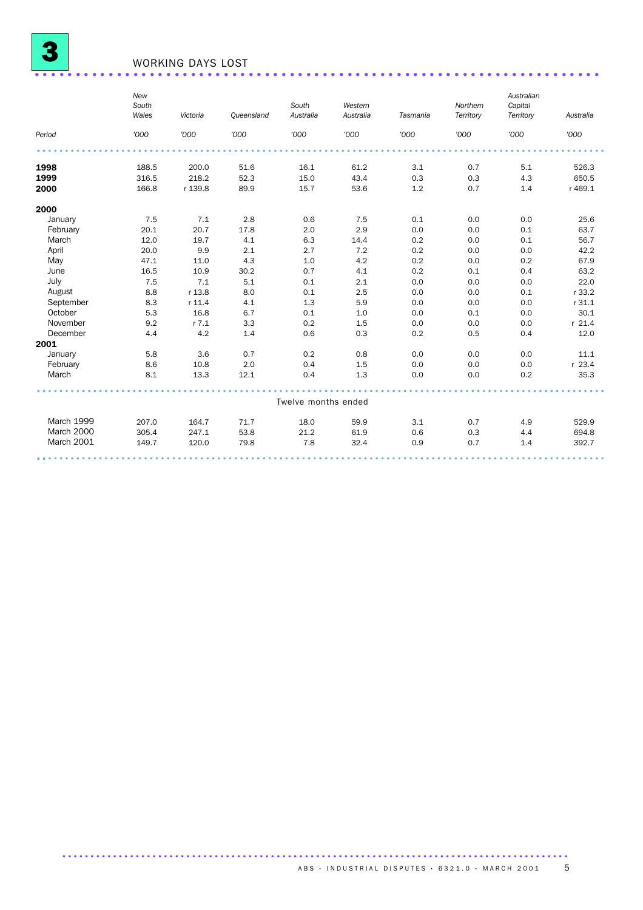

## WORKING DAYS LOST .....................................................................

|            | New<br>South<br>Wales | Victoria  | Queensland | South<br>Australia  | Western<br>Australia | Tasmania | Northern<br>Territory | Australian<br>Capital<br>Territory | Australia |
|------------|-----------------------|-----------|------------|---------------------|----------------------|----------|-----------------------|------------------------------------|-----------|
| Period     | '000                  | '000      | '000       | '000                | '000                 | '000     | '000                  | '000                               | '000      |
|            |                       |           |            |                     |                      |          |                       |                                    |           |
| 1998       | 188.5                 | 200.0     | 51.6       | 16.1                | 61.2                 | 3.1      | 0.7                   | 5.1                                | 526.3     |
| 1999       | 316.5                 | 218.2     | 52.3       | 15.0                | 43.4                 | 0.3      | 0.3                   | 4.3                                | 650.5     |
| 2000       | 166.8                 | r 139.8   | 89.9       | 15.7                | 53.6                 | 1.2      | 0.7                   | 1.4                                | r 469.1   |
| 2000       |                       |           |            |                     |                      |          |                       |                                    |           |
| January    | 7.5                   | 7.1       | 2.8        | 0.6                 | 7.5                  | 0.1      | 0.0                   | 0.0                                | 25.6      |
| February   | 20.1                  | 20.7      | 17.8       | 2.0                 | 2.9                  | 0.0      | 0.0                   | 0.1                                | 63.7      |
| March      | 12.0                  | 19.7      | 4.1        | 6.3                 | 14.4                 | 0.2      | 0.0                   | 0.1                                | 56.7      |
| April      | 20.0                  | 9.9       | 2.1        | 2.7                 | 7.2                  | 0.2      | 0.0                   | 0.0                                | 42.2      |
| May        | 47.1                  | 11.0      | 4.3        | 1.0                 | 4.2                  | 0.2      | 0.0                   | 0.2                                | 67.9      |
| June       | 16.5                  | 10.9      | 30.2       | 0.7                 | 4.1                  | 0.2      | 0.1                   | 0.4                                | 63.2      |
| July       | 7.5                   | 7.1       | 5.1        | 0.1                 | 2.1                  | 0.0      | 0.0                   | 0.0                                | 22.0      |
| August     | 8.8                   | r 13.8    | 8.0        | 0.1                 | 2.5                  | 0.0      | 0.0                   | 0.1                                | r 33.2    |
| September  | 8.3                   | $r$ 11.4  | 4.1        | 1.3                 | 5.9                  | 0.0      | 0.0                   | 0.0                                | r 31.1    |
| October    | 5.3                   | 16.8      | 6.7        | 0.1                 | 1.0                  | 0.0      | 0.1                   | 0.0                                | 30.1      |
| November   | 9.2                   | $r$ $7.1$ | 3.3        | 0.2                 | 1.5                  | 0.0      | 0.0                   | 0.0                                | $r$ 21.4  |
| December   | 4.4                   | 4.2       | 1.4        | 0.6                 | 0.3                  | 0.2      | 0.5                   | 0.4                                | 12.0      |
| 2001       |                       |           |            |                     |                      |          |                       |                                    |           |
| January    | 5.8                   | 3.6       | 0.7        | 0.2                 | 0.8                  | 0.0      | 0.0                   | 0.0                                | 11.1      |
| February   | 8.6                   | 10.8      | 2.0        | 0.4                 | 1.5                  | 0.0      | 0.0                   | 0.0                                | $r$ 23.4  |
| March      | 8.1                   | 13.3      | 12.1       | 0.4                 | 1.3                  | 0.0      | 0.0                   | 0.2                                | 35.3      |
|            |                       |           |            |                     |                      |          |                       |                                    |           |
|            |                       |           |            | Twelve months ended |                      |          |                       |                                    |           |
| March 1999 | 207.0                 | 164.7     | 71.7       | 18.0                | 59.9                 | 3.1      | 0.7                   | 4.9                                | 529.9     |
| March 2000 | 305.4                 | 247.1     | 53.8       | 21.2                | 61.9                 | 0.6      | 0.3                   | 4.4                                | 694.8     |
| March 2001 | 149.7                 | 120.0     | 79.8       | 7.8                 | 32.4                 | 0.9      | 0.7                   | 1.4                                | 392.7     |
|            |                       |           |            |                     |                      |          |                       |                                    |           |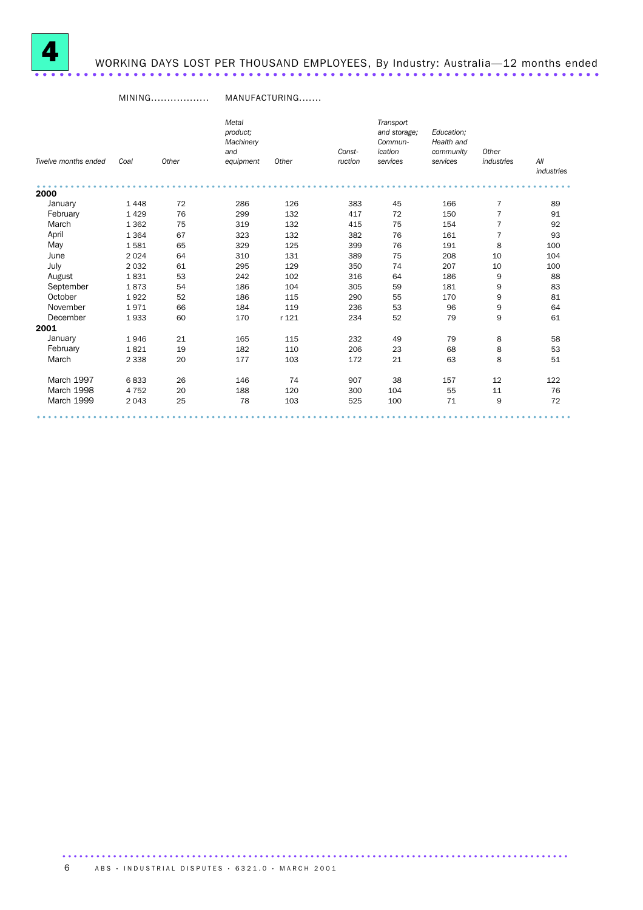

# WORKING DAYS LOST PER THOUSAND EMPLOYEES, By Industry: Australia—12 months ended .....................................................................

#### MINING.................. MANUFACTURING.......

|                     |         |       | Metal     |       |         | Transport    |            |                |                   |
|---------------------|---------|-------|-----------|-------|---------|--------------|------------|----------------|-------------------|
|                     |         |       | product;  |       |         | and storage; | Education: |                |                   |
|                     |         |       | Machinery |       |         | Commun-      | Health and |                |                   |
|                     |         |       | and       |       | Const-  | ication      | community  | Other          |                   |
| Twelve months ended | Coal    | Other | equipment | Other | ruction | services     | services   | industries     | All<br>industries |
| 2000                |         |       |           |       |         |              |            |                |                   |
| January             | 1448    | 72    | 286       | 126   | 383     | 45           | 166        | $\overline{7}$ | 89                |
| February            | 1429    | 76    | 299       | 132   | 417     | 72           | 150        | $\overline{7}$ | 91                |
| March               | 1 3 6 2 | 75    | 319       | 132   | 415     | 75           | 154        | $\overline{7}$ | 92                |
| April               | 1 3 6 4 | 67    | 323       | 132   | 382     | 76           | 161        | $\overline{7}$ | 93                |
| May                 | 1581    | 65    | 329       | 125   | 399     | 76           | 191        | 8              | 100               |
| June                | 2 0 2 4 | 64    | 310       | 131   | 389     | 75           | 208        | 10             | 104               |
| July                | 2 0 3 2 | 61    | 295       | 129   | 350     | 74           | 207        | 10             | 100               |
| August              | 1831    | 53    | 242       | 102   | 316     | 64           | 186        | 9              | 88                |
| September           | 1873    | 54    | 186       | 104   | 305     | 59           | 181        | 9              | 83                |
| October             | 1922    | 52    | 186       | 115   | 290     | 55           | 170        | 9              | 81                |
| November            | 1971    | 66    | 184       | 119   | 236     | 53           | 96         | 9              | 64                |
| December            | 1933    | 60    | 170       | r 121 | 234     | 52           | 79         | 9              | 61                |
| 2001                |         |       |           |       |         |              |            |                |                   |
| January             | 1946    | 21    | 165       | 115   | 232     | 49           | 79         | 8              | 58                |
| February            | 1821    | 19    | 182       | 110   | 206     | 23           | 68         | 8              | 53                |
| March               | 2 3 3 8 | 20    | 177       | 103   | 172     | 21           | 63         | 8              | 51                |
| March 1997          | 6833    | 26    | 146       | 74    | 907     | 38           | 157        | 12             | 122               |
| <b>March 1998</b>   | 4 7 5 2 | 20    | 188       | 120   | 300     | 104          | 55         | 11             | 76                |
| March 1999          | 2043    | 25    | 78        | 103   | 525     | 100          | 71         | 9              | 72                |
|                     |         |       |           |       |         |              |            |                |                   |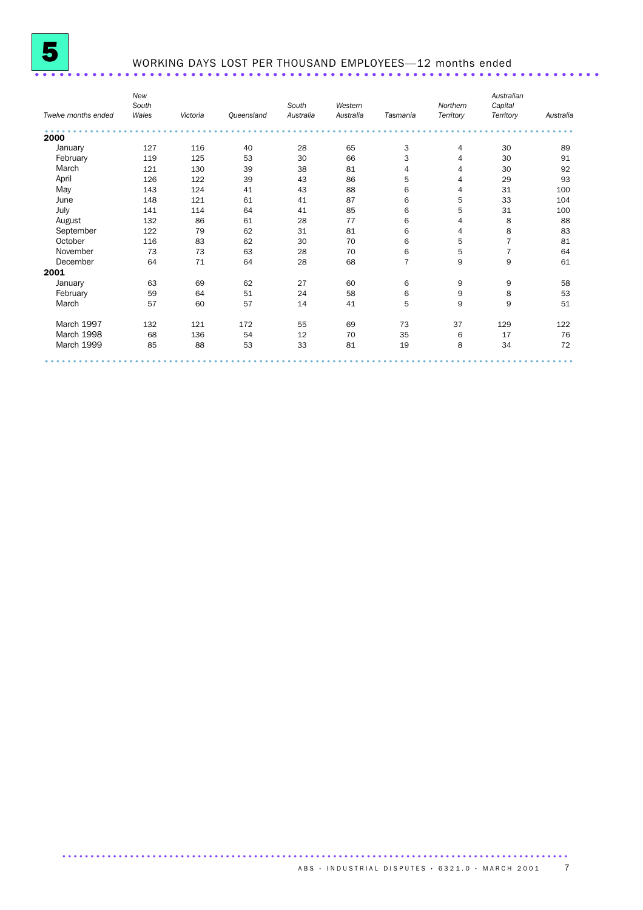

### WORKING DAYS LOST PER THOUSAND EMPLOYEES—12 months ended .....................................................................

|                     | New<br>South |          |            | South     | Western   |                | Northern       | Australian<br>Capital |           |
|---------------------|--------------|----------|------------|-----------|-----------|----------------|----------------|-----------------------|-----------|
| Twelve months ended | Wales        | Victoria | Queensland | Australia | Australia | Tasmania       | Territory      | Territory             | Australia |
| 2000                |              |          |            |           |           |                |                |                       |           |
| January             | 127          | 116      | 40         | 28        | 65        | 3              | 4              | 30                    | 89        |
| February            | 119          | 125      | 53         | 30        | 66        | 3              | 4              | 30                    | 91        |
| March               | 121          | 130      | 39         | 38        | 81        | 4              | 4              | 30                    | 92        |
| April               | 126          | 122      | 39         | 43        | 86        | 5              | $\overline{4}$ | 29                    | 93        |
| May                 | 143          | 124      | 41         | 43        | 88        | 6              | $\overline{4}$ | 31                    | 100       |
| June                | 148          | 121      | 61         | 41        | 87        | 6              | 5              | 33                    | 104       |
| July                | 141          | 114      | 64         | 41        | 85        | 6              | 5              | 31                    | 100       |
| August              | 132          | 86       | 61         | 28        | 77        | 6              | 4              | 8                     | 88        |
| September           | 122          | 79       | 62         | 31        | 81        | 6              | $\overline{4}$ | 8                     | 83        |
| October             | 116          | 83       | 62         | 30        | 70        | 6              | 5              | 7                     | 81        |
| November            | 73           | 73       | 63         | 28        | 70        | 6              | 5              | 7                     | 64        |
| December            | 64           | 71       | 64         | 28        | 68        | $\overline{7}$ | 9              | 9                     | 61        |
| 2001                |              |          |            |           |           |                |                |                       |           |
| January             | 63           | 69       | 62         | 27        | 60        | 6              | 9              | 9                     | 58        |
| February            | 59           | 64       | 51         | 24        | 58        | 6              | 9              | 8                     | 53        |
| March               | 57           | 60       | 57         | 14        | 41        | 5              | 9              | 9                     | 51        |
| March 1997          | 132          | 121      | 172        | 55        | 69        | 73             | 37             | 129                   | 122       |
| March 1998          | 68           | 136      | 54         | 12        | 70        | 35             | 6              | 17                    | 76        |
| March 1999          | 85           | 88       | 53         | 33        | 81        | 19             | 8              | 34                    | 72        |
|                     |              |          |            |           |           |                |                |                       |           |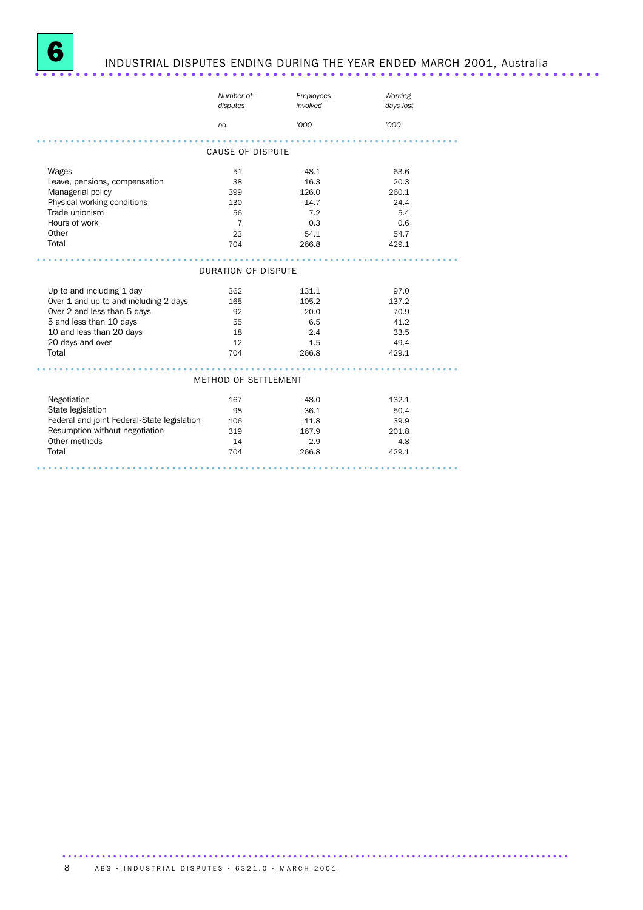

# INDUSTRIAL DISPUTES ENDING DURING THE YEAR ENDED MARCH 2001, Australia .....................................................................

|                                             | Number of<br>disputes   | Employees<br>involved | Working<br>days lost |
|---------------------------------------------|-------------------------|-----------------------|----------------------|
|                                             | no.                     | '000                  | '000                 |
|                                             |                         |                       |                      |
|                                             | <b>CAUSE OF DISPUTE</b> |                       |                      |
| Wages                                       | 51                      | 48.1                  | 63.6                 |
| Leave, pensions, compensation               | 38                      | 16.3                  | 20.3                 |
| Managerial policy                           | 399                     | 126.0                 | 260.1                |
| Physical working conditions                 | 130                     | 14.7                  | 24.4                 |
| Trade unionism                              | 56                      | 7.2                   | 5.4                  |
| Hours of work                               | 7                       | 0.3                   | 0.6                  |
| Other                                       | 23                      | 54.1                  | 54.7                 |
| Total                                       | 704                     | 266.8                 | 429.1                |
|                                             |                         |                       |                      |
|                                             | DURATION OF DISPUTE     |                       |                      |
| Up to and including 1 day                   | 362                     | 131.1                 | 97.0                 |
| Over 1 and up to and including 2 days       | 165                     | 105.2                 | 137.2                |
| Over 2 and less than 5 days                 | 92                      | 20.0                  | 70.9                 |
| 5 and less than 10 days                     | 55                      | 6.5                   | 41.2                 |
| 10 and less than 20 days                    | 18                      | 2.4                   | 33.5                 |
| 20 days and over                            | 12                      | 1.5                   | 49.4                 |
| Total                                       | 704                     | 266.8                 | 429.1                |
|                                             |                         |                       |                      |
|                                             | METHOD OF SETTLEMENT    |                       |                      |
| Negotiation                                 | 167                     | 48.0                  | 132.1                |
| State legislation                           | 98                      | 36.1                  | 50.4                 |
| Federal and joint Federal-State legislation | 106                     | 11.8                  | 39.9                 |
| Resumption without negotiation              | 319                     | 167.9                 | 201.8                |
| Other methods                               | 14                      | 2.9                   | 4.8                  |
| Total                                       | 704                     | 266.8                 | 429.1                |
|                                             |                         |                       |                      |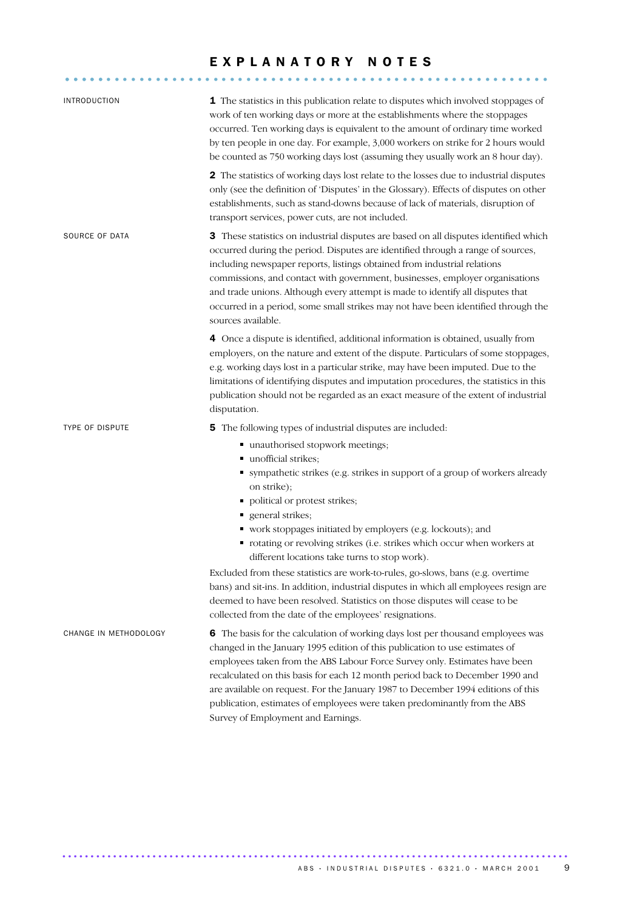#### EXPLANATORY NOTES

........................................................... .....

| <b>INTRODUCTION</b>   | 1 The statistics in this publication relate to disputes which involved stoppages of<br>work of ten working days or more at the establishments where the stoppages<br>occurred. Ten working days is equivalent to the amount of ordinary time worked<br>by ten people in one day. For example, 3,000 workers on strike for 2 hours would<br>be counted as 750 working days lost (assuming they usually work an 8 hour day).                                                                                                                                                                                                                                                                                                                                                                       |
|-----------------------|--------------------------------------------------------------------------------------------------------------------------------------------------------------------------------------------------------------------------------------------------------------------------------------------------------------------------------------------------------------------------------------------------------------------------------------------------------------------------------------------------------------------------------------------------------------------------------------------------------------------------------------------------------------------------------------------------------------------------------------------------------------------------------------------------|
|                       | 2 The statistics of working days lost relate to the losses due to industrial disputes<br>only (see the definition of 'Disputes' in the Glossary). Effects of disputes on other<br>establishments, such as stand-downs because of lack of materials, disruption of<br>transport services, power cuts, are not included.                                                                                                                                                                                                                                                                                                                                                                                                                                                                           |
| SOURCE OF DATA        | 3 These statistics on industrial disputes are based on all disputes identified which<br>occurred during the period. Disputes are identified through a range of sources,<br>including newspaper reports, listings obtained from industrial relations<br>commissions, and contact with government, businesses, employer organisations<br>and trade unions. Although every attempt is made to identify all disputes that<br>occurred in a period, some small strikes may not have been identified through the<br>sources available.                                                                                                                                                                                                                                                                 |
|                       | 4 Once a dispute is identified, additional information is obtained, usually from<br>employers, on the nature and extent of the dispute. Particulars of some stoppages,<br>e.g. working days lost in a particular strike, may have been imputed. Due to the<br>limitations of identifying disputes and imputation procedures, the statistics in this<br>publication should not be regarded as an exact measure of the extent of industrial<br>disputation.                                                                                                                                                                                                                                                                                                                                        |
| TYPE OF DISPUTE       | 5 The following types of industrial disputes are included:<br>■ unauthorised stopwork meetings;<br>unofficial strikes;<br>• sympathetic strikes (e.g. strikes in support of a group of workers already<br>on strike);<br>• political or protest strikes;<br>general strikes;<br>• work stoppages initiated by employers (e.g. lockouts); and<br>• rotating or revolving strikes (i.e. strikes which occur when workers at<br>different locations take turns to stop work).<br>Excluded from these statistics are work-to-rules, go-slows, bans (e.g. overtime<br>bans) and sit-ins. In addition, industrial disputes in which all employees resign are<br>deemed to have been resolved. Statistics on those disputes will cease to be<br>collected from the date of the employees' resignations. |
| CHANGE IN METHODOLOGY | 6 The basis for the calculation of working days lost per thousand employees was<br>changed in the January 1995 edition of this publication to use estimates of<br>employees taken from the ABS Labour Force Survey only. Estimates have been<br>recalculated on this basis for each 12 month period back to December 1990 and<br>are available on request. For the January 1987 to December 1994 editions of this<br>publication, estimates of employees were taken predominantly from the ABS<br>Survey of Employment and Earnings.                                                                                                                                                                                                                                                             |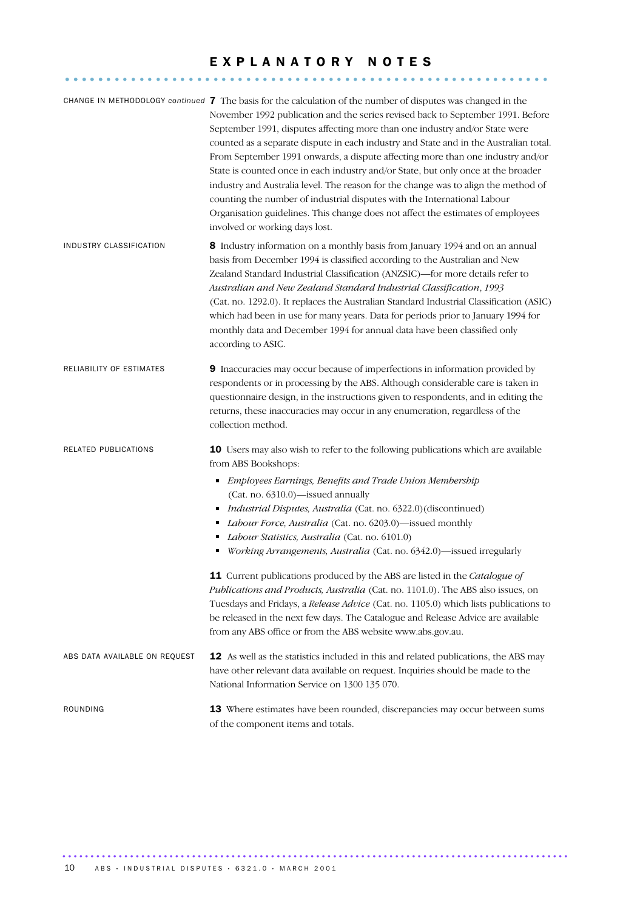#### EXPLANATORY NOTES

........................................................... .....

|                               | CHANGE IN METHODOLOGY continued 7 The basis for the calculation of the number of disputes was changed in the<br>November 1992 publication and the series revised back to September 1991. Before<br>September 1991, disputes affecting more than one industry and/or State were<br>counted as a separate dispute in each industry and State and in the Australian total.<br>From September 1991 onwards, a dispute affecting more than one industry and/or<br>State is counted once in each industry and/or State, but only once at the broader<br>industry and Australia level. The reason for the change was to align the method of<br>counting the number of industrial disputes with the International Labour<br>Organisation guidelines. This change does not affect the estimates of employees<br>involved or working days lost.                                                                      |
|-------------------------------|------------------------------------------------------------------------------------------------------------------------------------------------------------------------------------------------------------------------------------------------------------------------------------------------------------------------------------------------------------------------------------------------------------------------------------------------------------------------------------------------------------------------------------------------------------------------------------------------------------------------------------------------------------------------------------------------------------------------------------------------------------------------------------------------------------------------------------------------------------------------------------------------------------|
| INDUSTRY CLASSIFICATION       | 8 Industry information on a monthly basis from January 1994 and on an annual<br>basis from December 1994 is classified according to the Australian and New<br>Zealand Standard Industrial Classification (ANZSIC)-for more details refer to<br>Australian and New Zealand Standard Industrial Classification, 1993<br>(Cat. no. 1292.0). It replaces the Australian Standard Industrial Classification (ASIC)<br>which had been in use for many years. Data for periods prior to January 1994 for<br>monthly data and December 1994 for annual data have been classified only<br>according to ASIC.                                                                                                                                                                                                                                                                                                        |
| RELIABILITY OF ESTIMATES      | 9 Inaccuracies may occur because of imperfections in information provided by<br>respondents or in processing by the ABS. Although considerable care is taken in<br>questionnaire design, in the instructions given to respondents, and in editing the<br>returns, these inaccuracies may occur in any enumeration, regardless of the<br>collection method.                                                                                                                                                                                                                                                                                                                                                                                                                                                                                                                                                 |
| RELATED PUBLICATIONS          | 10 Users may also wish to refer to the following publications which are available<br>from ABS Bookshops:<br>Employees Earnings, Benefits and Trade Union Membership<br>٠<br>(Cat. no. 6310.0)-issued annually<br>Industrial Disputes, Australia (Cat. no. 6322.0) (discontinued)<br>٠<br>Labour Force, Australia (Cat. no. 6203.0)-issued monthly<br>Labour Statistics, Australia (Cat. no. 6101.0)<br>Working Arrangements, Australia (Cat. no. 6342.0)-issued irregularly<br>٠<br><b>11</b> Current publications produced by the ABS are listed in the <i>Catalogue of</i><br>Publications and Products, Australia (Cat. no. 1101.0). The ABS also issues, on<br>Tuesdays and Fridays, a Release Advice (Cat. no. 1105.0) which lists publications to<br>be released in the next few days. The Catalogue and Release Advice are available<br>from any ABS office or from the ABS website www.abs.gov.au. |
| ABS DATA AVAILABLE ON REQUEST | 12 As well as the statistics included in this and related publications, the ABS may<br>have other relevant data available on request. Inquiries should be made to the<br>National Information Service on 1300 135 070.                                                                                                                                                                                                                                                                                                                                                                                                                                                                                                                                                                                                                                                                                     |
| ROUNDING                      | <b>13</b> Where estimates have been rounded, discrepancies may occur between sums<br>of the component items and totals.                                                                                                                                                                                                                                                                                                                                                                                                                                                                                                                                                                                                                                                                                                                                                                                    |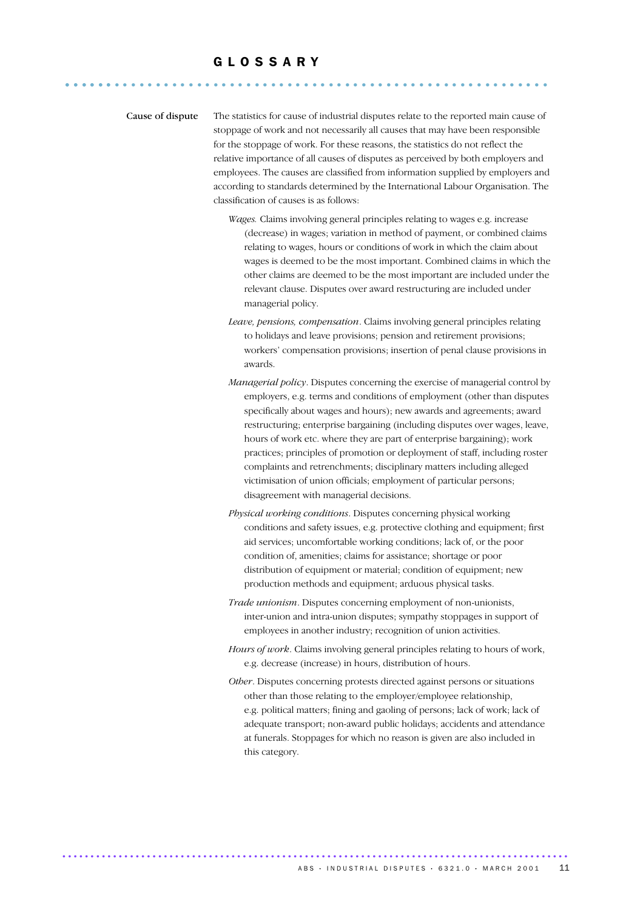### G L O S S A R Y ........................................................... ......

Cause of dispute The statistics for cause of industrial disputes relate to the reported main cause of stoppage of work and not necessarily all causes that may have been responsible for the stoppage of work. For these reasons, the statistics do not reflect the relative importance of all causes of disputes as perceived by both employers and employees. The causes are classified from information supplied by employers and according to standards determined by the International Labour Organisation. The classification of causes is as follows:

- *Wages.* Claims involving general principles relating to wages e.g. increase (decrease) in wages; variation in method of payment, or combined claims relating to wages, hours or conditions of work in which the claim about wages is deemed to be the most important. Combined claims in which the other claims are deemed to be the most important are included under the relevant clause. Disputes over award restructuring are included under managerial policy.
- *Leave, pensions, compensation*. Claims involving general principles relating to holidays and leave provisions; pension and retirement provisions; workers' compensation provisions; insertion of penal clause provisions in awards.
- *Managerial policy*. Disputes concerning the exercise of managerial control by employers, e.g. terms and conditions of employment (other than disputes specifically about wages and hours); new awards and agreements; award restructuring; enterprise bargaining (including disputes over wages, leave, hours of work etc. where they are part of enterprise bargaining); work practices; principles of promotion or deployment of staff, including roster complaints and retrenchments; disciplinary matters including alleged victimisation of union officials; employment of particular persons; disagreement with managerial decisions.
- *Physical working conditions*. Disputes concerning physical working conditions and safety issues, e.g. protective clothing and equipment; first aid services; uncomfortable working conditions; lack of, or the poor condition of, amenities; claims for assistance; shortage or poor distribution of equipment or material; condition of equipment; new production methods and equipment; arduous physical tasks.
- *Trade unionism*. Disputes concerning employment of non-unionists, inter-union and intra-union disputes; sympathy stoppages in support of employees in another industry; recognition of union activities.
- *Hours of work*. Claims involving general principles relating to hours of work, e.g. decrease (increase) in hours, distribution of hours.
- *Other*. Disputes concerning protests directed against persons or situations other than those relating to the employer/employee relationship, e.g. political matters; fining and gaoling of persons; lack of work; lack of adequate transport; non-award public holidays; accidents and attendance at funerals. Stoppages for which no reason is given are also included in this category.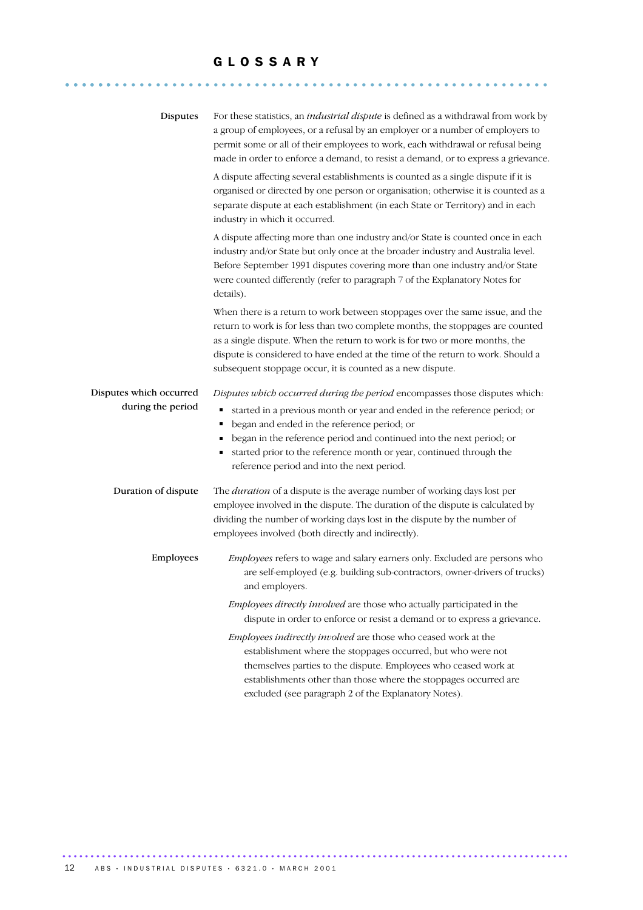#### G L O S S A R Y

........................................................... ......

| <b>Disputes</b>                              | For these statistics, an industrial dispute is defined as a withdrawal from work by<br>a group of employees, or a refusal by an employer or a number of employers to<br>permit some or all of their employees to work, each withdrawal or refusal being<br>made in order to enforce a demand, to resist a demand, or to express a grievance.                                                              |
|----------------------------------------------|-----------------------------------------------------------------------------------------------------------------------------------------------------------------------------------------------------------------------------------------------------------------------------------------------------------------------------------------------------------------------------------------------------------|
|                                              | A dispute affecting several establishments is counted as a single dispute if it is<br>organised or directed by one person or organisation; otherwise it is counted as a<br>separate dispute at each establishment (in each State or Territory) and in each<br>industry in which it occurred.                                                                                                              |
|                                              | A dispute affecting more than one industry and/or State is counted once in each<br>industry and/or State but only once at the broader industry and Australia level.<br>Before September 1991 disputes covering more than one industry and/or State<br>were counted differently (refer to paragraph 7 of the Explanatory Notes for<br>details).                                                            |
|                                              | When there is a return to work between stoppages over the same issue, and the<br>return to work is for less than two complete months, the stoppages are counted<br>as a single dispute. When the return to work is for two or more months, the<br>dispute is considered to have ended at the time of the return to work. Should a<br>subsequent stoppage occur, it is counted as a new dispute.           |
| Disputes which occurred<br>during the period | Disputes which occurred during the period encompasses those disputes which:<br>started in a previous month or year and ended in the reference period; or<br>began and ended in the reference period; or<br>began in the reference period and continued into the next period; or<br>п<br>started prior to the reference month or year, continued through the<br>reference period and into the next period. |
| Duration of dispute                          | The <i>duration</i> of a dispute is the average number of working days lost per<br>employee involved in the dispute. The duration of the dispute is calculated by<br>dividing the number of working days lost in the dispute by the number of<br>employees involved (both directly and indirectly).                                                                                                       |
| Employees                                    | Employees refers to wage and salary earners only. Excluded are persons who<br>are self-employed (e.g. building sub-contractors, owner-drivers of trucks)<br>and employers.                                                                                                                                                                                                                                |
|                                              | Employees directly involved are those who actually participated in the<br>dispute in order to enforce or resist a demand or to express a grievance.                                                                                                                                                                                                                                                       |
|                                              | Employees indirectly involved are those who ceased work at the<br>establishment where the stoppages occurred, but who were not<br>themselves parties to the dispute. Employees who ceased work at<br>establishments other than those where the stoppages occurred are<br>excluded (see paragraph 2 of the Explanatory Notes).                                                                             |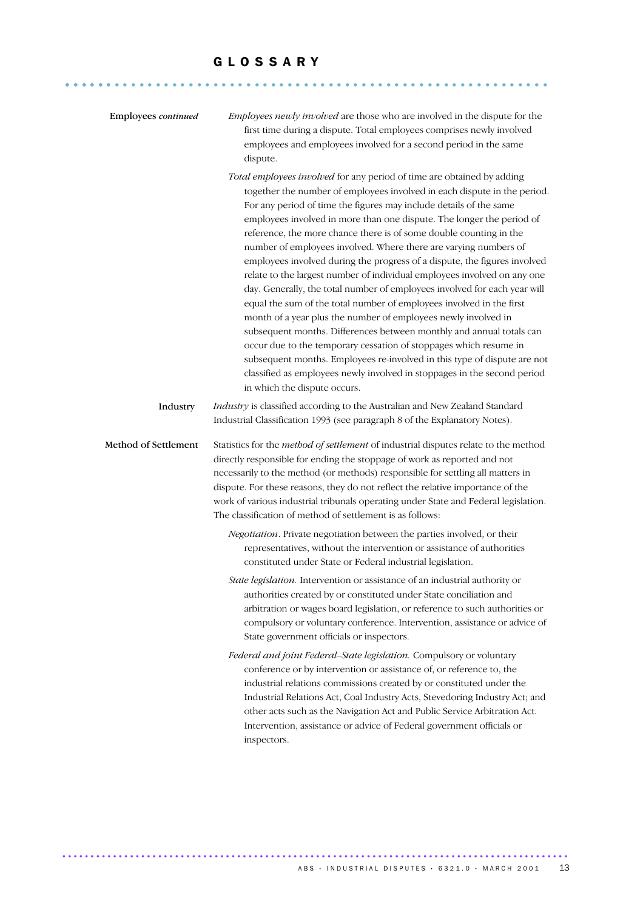#### G L O S S A R Y

........................................................... ......

| Employees continued  | Employees newly involved are those who are involved in the dispute for the<br>first time during a dispute. Total employees comprises newly involved<br>employees and employees involved for a second period in the same<br>dispute.                                                                                                                                                                                                                                                                                                                                                                                                                                                                                                                                                                                                                                                                                                                                                                                                                                                                                                                              |
|----------------------|------------------------------------------------------------------------------------------------------------------------------------------------------------------------------------------------------------------------------------------------------------------------------------------------------------------------------------------------------------------------------------------------------------------------------------------------------------------------------------------------------------------------------------------------------------------------------------------------------------------------------------------------------------------------------------------------------------------------------------------------------------------------------------------------------------------------------------------------------------------------------------------------------------------------------------------------------------------------------------------------------------------------------------------------------------------------------------------------------------------------------------------------------------------|
|                      | Total employees involved for any period of time are obtained by adding<br>together the number of employees involved in each dispute in the period.<br>For any period of time the figures may include details of the same<br>employees involved in more than one dispute. The longer the period of<br>reference, the more chance there is of some double counting in the<br>number of employees involved. Where there are varying numbers of<br>employees involved during the progress of a dispute, the figures involved<br>relate to the largest number of individual employees involved on any one<br>day. Generally, the total number of employees involved for each year will<br>equal the sum of the total number of employees involved in the first<br>month of a year plus the number of employees newly involved in<br>subsequent months. Differences between monthly and annual totals can<br>occur due to the temporary cessation of stoppages which resume in<br>subsequent months. Employees re-involved in this type of dispute are not<br>classified as employees newly involved in stoppages in the second period<br>in which the dispute occurs. |
| Industry             | Industry is classified according to the Australian and New Zealand Standard<br>Industrial Classification 1993 (see paragraph 8 of the Explanatory Notes).                                                                                                                                                                                                                                                                                                                                                                                                                                                                                                                                                                                                                                                                                                                                                                                                                                                                                                                                                                                                        |
| Method of Settlement | Statistics for the method of settlement of industrial disputes relate to the method<br>directly responsible for ending the stoppage of work as reported and not<br>necessarily to the method (or methods) responsible for settling all matters in<br>dispute. For these reasons, they do not reflect the relative importance of the<br>work of various industrial tribunals operating under State and Federal legislation.<br>The classification of method of settlement is as follows:                                                                                                                                                                                                                                                                                                                                                                                                                                                                                                                                                                                                                                                                          |
|                      | Negotiation. Private negotiation between the parties involved, or their<br>representatives, without the intervention or assistance of authorities<br>constituted under State or Federal industrial legislation.                                                                                                                                                                                                                                                                                                                                                                                                                                                                                                                                                                                                                                                                                                                                                                                                                                                                                                                                                  |
|                      | State legislation. Intervention or assistance of an industrial authority or<br>authorities created by or constituted under State conciliation and<br>arbitration or wages board legislation, or reference to such authorities or<br>compulsory or voluntary conference. Intervention, assistance or advice of<br>State government officials or inspectors.                                                                                                                                                                                                                                                                                                                                                                                                                                                                                                                                                                                                                                                                                                                                                                                                       |
|                      | Federal and joint Federal-State legislation. Compulsory or voluntary<br>conference or by intervention or assistance of, or reference to, the<br>industrial relations commissions created by or constituted under the<br>Industrial Relations Act, Coal Industry Acts, Stevedoring Industry Act; and<br>other acts such as the Navigation Act and Public Service Arbitration Act.<br>Intervention, assistance or advice of Federal government officials or<br>inspectors.                                                                                                                                                                                                                                                                                                                                                                                                                                                                                                                                                                                                                                                                                         |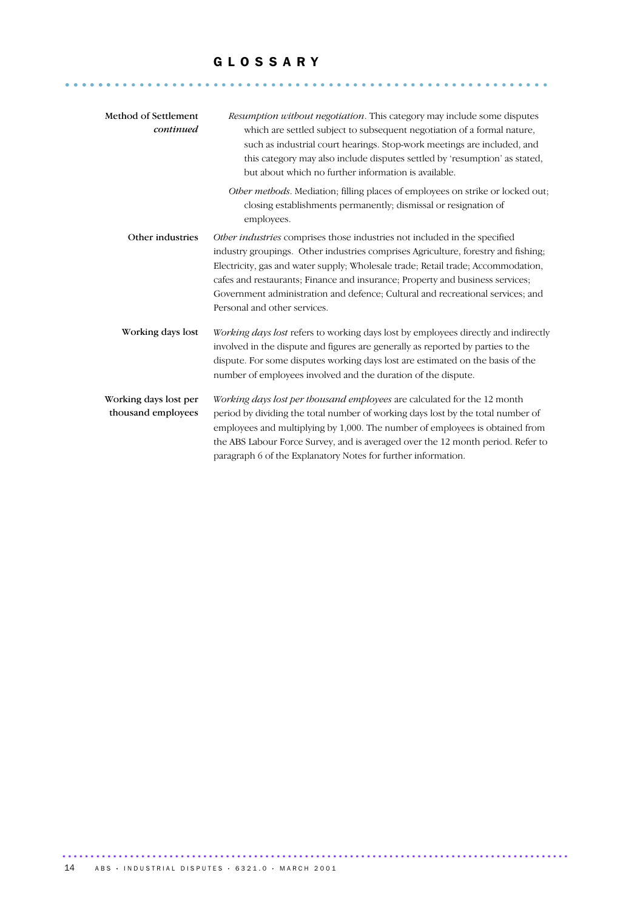#### G L O S S A R Y

........................................................... ......

| Method of Settlement<br>continued           | Resumption without negotiation. This category may include some disputes<br>which are settled subject to subsequent negotiation of a formal nature,<br>such as industrial court hearings. Stop-work meetings are included, and<br>this category may also include disputes settled by 'resumption' as stated,<br>but about which no further information is available.                                                                                   |
|---------------------------------------------|-------------------------------------------------------------------------------------------------------------------------------------------------------------------------------------------------------------------------------------------------------------------------------------------------------------------------------------------------------------------------------------------------------------------------------------------------------|
|                                             | Other methods. Mediation; filling places of employees on strike or locked out;<br>closing establishments permanently; dismissal or resignation of<br>employees.                                                                                                                                                                                                                                                                                       |
| Other industries                            | Other industries comprises those industries not included in the specified<br>industry groupings. Other industries comprises Agriculture, forestry and fishing;<br>Electricity, gas and water supply; Wholesale trade; Retail trade; Accommodation,<br>cafes and restaurants; Finance and insurance; Property and business services;<br>Government administration and defence; Cultural and recreational services; and<br>Personal and other services. |
| Working days lost                           | Working days lost refers to working days lost by employees directly and indirectly<br>involved in the dispute and figures are generally as reported by parties to the<br>dispute. For some disputes working days lost are estimated on the basis of the<br>number of employees involved and the duration of the dispute.                                                                                                                              |
| Working days lost per<br>thousand employees | Working days lost per thousand employees are calculated for the 12 month<br>period by dividing the total number of working days lost by the total number of<br>employees and multiplying by 1,000. The number of employees is obtained from<br>the ABS Labour Force Survey, and is averaged over the 12 month period. Refer to<br>paragraph 6 of the Explanatory Notes for further information.                                                       |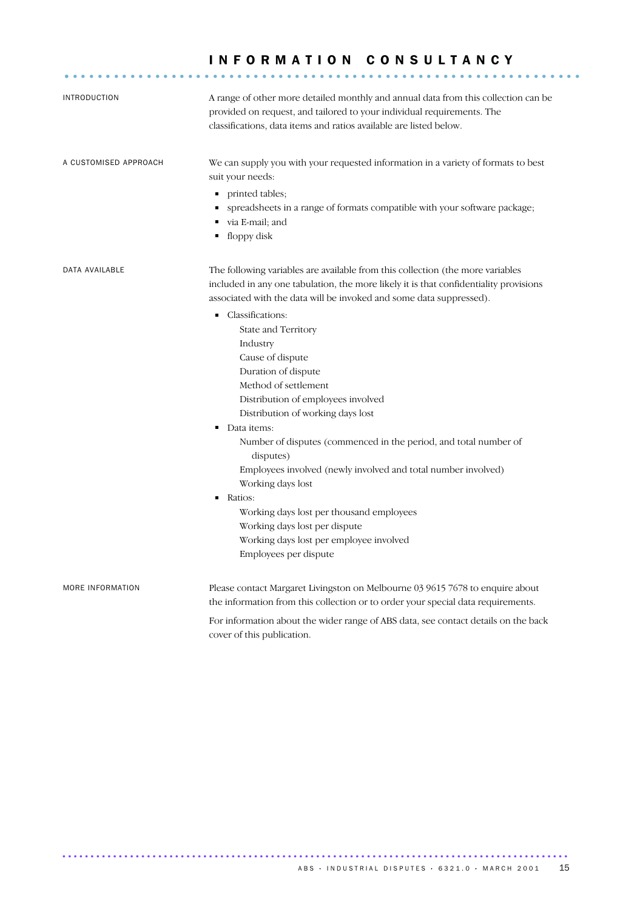# G L O S S A R Y I N F O R M A T I O N C O N S U L T A N C Y ............................................................... .

| <b>INTRODUCTION</b>   | A range of other more detailed monthly and annual data from this collection can be<br>provided on request, and tailored to your individual requirements. The<br>classifications, data items and ratios available are listed below.             |
|-----------------------|------------------------------------------------------------------------------------------------------------------------------------------------------------------------------------------------------------------------------------------------|
| A CUSTOMISED APPROACH | We can supply you with your requested information in a variety of formats to best<br>suit your needs:                                                                                                                                          |
|                       | printed tables;<br>٠<br>spreadsheets in a range of formats compatible with your software package;<br>٠<br>via E-mail; and<br>floppy disk<br>٠                                                                                                  |
| DATA AVAILABLE        | The following variables are available from this collection (the more variables<br>included in any one tabulation, the more likely it is that confidentiality provisions<br>associated with the data will be invoked and some data suppressed). |
|                       | Classifications:<br>٠                                                                                                                                                                                                                          |
|                       | State and Territory                                                                                                                                                                                                                            |
|                       | Industry                                                                                                                                                                                                                                       |
|                       | Cause of dispute                                                                                                                                                                                                                               |
|                       | Duration of dispute                                                                                                                                                                                                                            |
|                       | Method of settlement                                                                                                                                                                                                                           |
|                       | Distribution of employees involved                                                                                                                                                                                                             |
|                       | Distribution of working days lost                                                                                                                                                                                                              |
|                       | Data items:<br>٠                                                                                                                                                                                                                               |
|                       | Number of disputes (commenced in the period, and total number of<br>disputes)                                                                                                                                                                  |
|                       | Employees involved (newly involved and total number involved)                                                                                                                                                                                  |
|                       | Working days lost                                                                                                                                                                                                                              |
|                       | ٠<br>Ratios:                                                                                                                                                                                                                                   |
|                       | Working days lost per thousand employees                                                                                                                                                                                                       |
|                       | Working days lost per dispute                                                                                                                                                                                                                  |
|                       | Working days lost per employee involved                                                                                                                                                                                                        |
|                       | Employees per dispute                                                                                                                                                                                                                          |
| MORE INFORMATION      | Please contact Margaret Livingston on Melbourne 03 9615 7678 to enquire about<br>the information from this collection or to order your special data requirements.                                                                              |
|                       | For information about the wider range of ABS data, see contact details on the back<br>cover of this publication.                                                                                                                               |